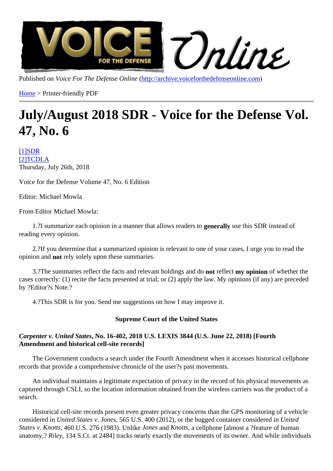Published on Voice For The Defense Onlinettp://archive.voiceforthedefenseonline.com

Home > Printer-friendly PDF

# [Jul](http://archive.voiceforthedefenseonline.com/)y/August 2018 S[DR - Voice for the De](http://archive.voiceforthedefenseonline.com)fense Vol. 47, No. 6

[1]SDR **[2]TCDLA** Thursday, July 26th, 2018

[Voic](http://archive.voiceforthedefenseonline.com/channel/2/stories)[e fo](http://archive.voiceforthedefenseonline.com/source/tcdla)r the Defense Volume 47, No. 6 Edition

Editor: Michael Mowla

From Editor Michael Mowla:

1.?I summarize each opinion in a manner that allows readers to guive this SDR instead of reading every opinion.

 2.?If you determine that a summarized opinion is relevant to one of your cases, I urge you to read the opinion and not rely solely upon these summaries.

3.? The summaries reflect the facts and relevant holdings and redisct my opinion of whether the cases correctly: (1) recite the facts presented at trial; or (2) apply the law. My opinions (if any) are preceded by ?Editor?s Note.?

4.?This SDR is for you. Send me suggestions on how I may improve it.

Supreme Court of the United States

Carpenter v. United State No. 16-402, 2018 U.S. LEXIS 3844 (U.S. June 22, 2018) [Fourth Amendment and historical cell-site records]

 The Government conducts a search under the Fourth Amendment when it accesses historical cellphone records that provide a comprehensive chronicle of the user?s past movements.

 An individual maintains a legitimate expectation of privacy in the record of his physical movements as captured through CSLI, so the location information obtained from the wireless carriers was the product of a search.

 Historical cell-site records present even greater privacy concerns than the GPS monitoring of a vehicle considered in United States v. Jone565 U.S. 400 (2012), or the bugged container considered ited States v. Knotts, 60 U.S. 276 (1983). Unlik tones and Knotts, a cellphone [almost a ?feature of human anatomy, Riley, 134 S.Ct. at 2484] tracks nearly exactly the movements of its owner. And while individuals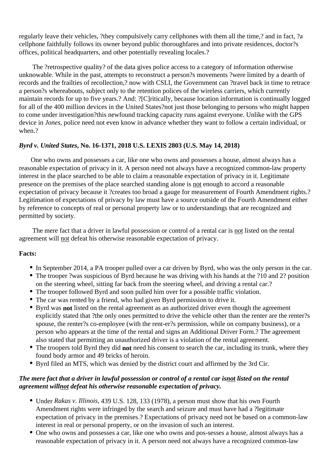regularly leave their vehicles, ?they compulsively carry cellphones with them all the time,? and in fact, ?a cellphone faithfully follows its owner beyond public thoroughfares and into private residences, doctor?s offices, political headquarters, and other potentially revealing locales.?

 The ?retrospective quality? of the data gives police access to a category of information otherwise unknowable. While in the past, attempts to reconstruct a person?s movements ?were limited by a dearth of records and the frailties of recollection,? now with CSLI, the Government can ?travel back in time to retrace a person?s whereabouts, subject only to the retention polices of the wireless carriers, which currently maintain records for up to five years.? And: ?[C]ritically, because location information is continually logged for all of the 400 million devices in the United States?not just those belonging to persons who might happen to come under investigation?this newfound tracking capacity runs against everyone. Unlike with the GPS device in *Jones,* police need not even know in advance whether they want to follow a certain individual, or when.?

## *Byrd v. United States***, No. 16-1371, 2018 U.S. LEXIS 2803 (U.S. May 14, 2018)**

One who owns and possesses a car, like one who owns and possesses a house, almost always has a reasonable expectation of privacy in it. A person need not always have a recognized common-law property interest in the place searched to be able to claim a reasonable expectation of privacy in it. Legitimate presence on the premises of the place searched standing alone is not enough to accord a reasonable expectation of privacy because it ?creates too broad a gauge for measurement of Fourth Amendment rights.? Legitimation of expectations of privacy by law must have a source outside of the Fourth Amendment either by reference to concepts of real or personal property law or to understandings that are recognized and permitted by society.

 The mere fact that a driver in lawful possession or control of a rental car is not listed on the rental agreement will not defeat his otherwise reasonable expectation of privacy.

#### **Facts:**

- In September 2014, a PA trooper pulled over a car driven by Byrd, who was the only person in the car.
- The trooper ?was suspicious of Byrd because he was driving with his hands at the ?10 and 2? position on the steering wheel, sitting far back from the steering wheel, and driving a rental car.?
- The trooper followed Byrd and soon pulled him over for a possible traffic violation.
- The car was rented by a friend, who had given Byrd permission to drive it.
- Byrd was **not** listed on the rental agreement as an authorized driver even though the agreement explicitly stated that ?the only ones permitted to drive the vehicle other than the renter are the renter?s spouse, the renter?s co-employee (with the rent-er?s permission, while on company business), or a person who appears at the time of the rental and signs an Additional Driver Form.? The agreement also stated that permitting an unauthorized driver is a violation of the rental agreement.
- The troopers told Byrd they did **not** need his consent to search the car, including its trunk, where they found body armor and 49 bricks of heroin.
- Byrd filed an MTS, which was denied by the district court and affirmed by the 3rd Cir.

## *The mere fact that a driver in lawful possession or control of a rental car isnot listed on the rental agreement willnot defeat his otherwise reasonable expectation of privacy.*

- Under *Rakas v. Illinois,* 439 U.S. 128, 133 (1978), a person must show that his own Fourth Amendment rights were infringed by the search and seizure and must have had a ?legitimate expectation of privacy in the premises.? Expectations of privacy need not be based on a common-law interest in real or personal property, or on the invasion of such an interest.
- One who owns and possesses a car, like one who owns and pos-sesses a house, almost always has a reasonable expectation of privacy in it. A person need not always have a recognized common-law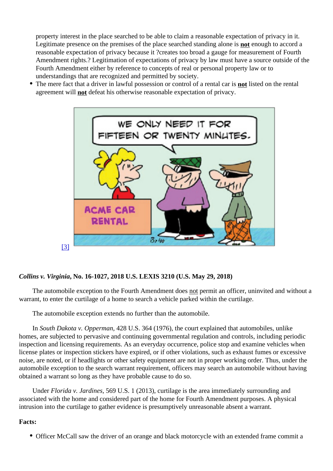property interest in the place searched to be able to claim a reasonable expectation of privacy in it. Legitimate presence on the premises of the place searched standing **algreen** sugged to accord a reasonable expectation of privacy because it ?creates too broad a gauge for measurement of Fourth Amendment rights.? Legitimation of expectations of privacy by law must have a source outside of the Fourth Amendment either by reference to concepts of real or personal property law or to understandings that are recognized and permitted by society.

• The mere fact that a driver in lawful possession or control of a rental matristed on the rental agreement wilhot defeat his otherwise reasonable expectation of privacy.

[3]

Collins v. Virg[inia, No. 16-1027, 2018 U.S. LEXIS 3210 \(U.S. May 29, 2018\)](http://archive.voiceforthedefenseonline.com/image/july-2018-sdr-1)

The automobile exception to the Fourth Amendment roles not an officer, uninvited and without a warrant, to enter the curtilage of a home to search a vehicle parked within the curtilage.

The automobile exception extends no further than the automobile.

In South Dakota v. Opperma428 U.S. 364 (1976), the court explained that automobiles, unlike homes, are subjected to pervasive and continuing governmental regulation and controls, including periodic inspection and licensing requirements. As an everyday occurrence, police stop and examine vehicles when license plates or inspection stickers have expired, or if other violations, such as exhaust fumes or excessive noise, are noted, or if headlights or other safety equipment are not in proper working order. Thus, under the automobile exception to the search warrant requirement, officers may search an automobile without having obtained a warrant so long as they have probable cause to do so.

Under Florida v. Jardines 569 U.S. 1 (2013), curtilage is the area immediately surrounding and associated with the home and considered part of the home for Fourth Amendment purposes. A physical intrusion into the curtilage to gather evidence is presumptively unreasonable absent a warrant.

Facts:

Officer McCall saw the driver of an orange and black motorcycle with an extended frame commit a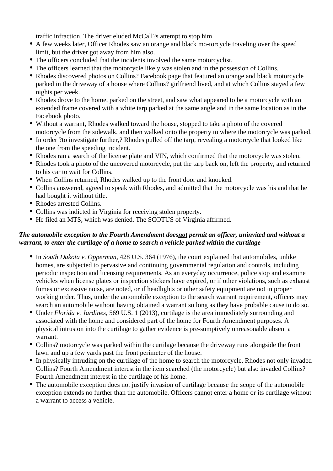traffic infraction. The driver eluded McCall?s attempt to stop him.

- A few weeks later, Officer Rhodes saw an orange and black mo-torcycle traveling over the speed limit, but the driver got away from him also.
- The officers concluded that the incidents involved the same motorcyclist.
- The officers learned that the motorcycle likely was stolen and in the possession of Collins.
- Rhodes discovered photos on Collins? Facebook page that featured an orange and black motorcycle parked in the driveway of a house where Collins? girlfriend lived, and at which Collins stayed a few nights per week.
- Rhodes drove to the home, parked on the street, and saw what appeared to be a motorcycle with an extended frame covered with a white tarp parked at the same angle and in the same location as in the Facebook photo.
- Without a warrant, Rhodes walked toward the house, stopped to take a photo of the covered motorcycle from the sidewalk, and then walked onto the property to where the motorcycle was parked.
- In order ?to investigate further,? Rhodes pulled off the tarp, revealing a motorcycle that looked like the one from the speeding incident.
- Rhodes ran a search of the license plate and VIN, which confirmed that the motorcycle was stolen.
- Rhodes took a photo of the uncovered motorcycle, put the tarp back on, left the property, and returned to his car to wait for Collins.
- When Collins returned, Rhodes walked up to the front door and knocked.
- Collins answered, agreed to speak with Rhodes, and admitted that the motorcycle was his and that he had bought it without title.
- Rhodes arrested Collins.
- Collins was indicted in Virginia for receiving stolen property.
- He filed an MTS, which was denied. The SCOTUS of Virginia affirmed.

## *The automobile exception to the Fourth Amendment doesnot permit an officer, uninvited and without a warrant, to enter the curtilage of a home to search a vehicle parked within the curtilage*

- In *South Dakota v. Opperman,* 428 U.S. 364 (1976), the court explained that automobiles, unlike homes, are subjected to pervasive and continuing governmental regulation and controls, including periodic inspection and licensing requirements. As an everyday occurrence, police stop and examine vehicles when license plates or inspection stickers have expired, or if other violations, such as exhaust fumes or excessive noise, are noted, or if headlights or other safety equipment are not in proper working order. Thus, under the automobile exception to the search warrant requirement, officers may search an automobile without having obtained a warrant so long as they have probable cause to do so.
- Under *Florida v. Jardines,* 569 U.S. 1 (2013), curtilage is the area immediately surrounding and associated with the home and considered part of the home for Fourth Amendment purposes. A physical intrusion into the curtilage to gather evidence is pre-sumptively unreasonable absent a warrant.
- Collins? motorcycle was parked within the curtilage because the driveway runs alongside the front lawn and up a few yards past the front perimeter of the house.
- In physically intruding on the curtilage of the home to search the motorcycle, Rhodes not only invaded Collins? Fourth Amendment interest in the item searched (the motorcycle) but also invaded Collins? Fourth Amendment interest in the curtilage of his home.
- The automobile exception does not justify invasion of curtilage because the scope of the automobile exception extends no further than the automobile. Officers cannot enter a home or its curtilage without a warrant to access a vehicle.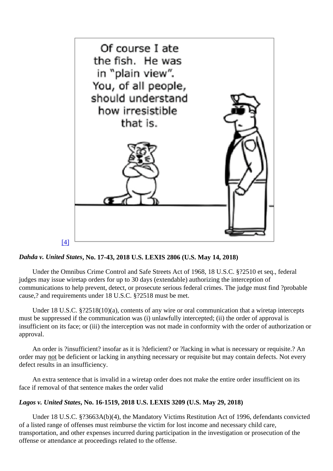# [4]

Dahda v. United States No. 17-43, 2018 U.S. LEXIS 2806 (U.S. May 14, 2018)

 Under th[e Omnibus Crime Control and Safe Streets Act of 1968, 18 U.S.C. §?25](http://archive.voiceforthedefenseonline.com/image/july-2018-sdr-2)10 et seq., federal judges may issue wiretap orders for up to 30 days (extendable) authorizing the interception of communications to help prevent, detect, or prosecute serious federal crimes. The judge must find ?probable cause,? and requirements under 18 U.S.C. §?2518 must be met.

 Under 18 U.S.C. §?2518(10)(a), contents of any wire or oral communication that a wiretap intercepts must be suppressed if the communication was (i) unlawfully intercepted; (ii) the order of approval is insufficient on its face; or (iii) the interception was not made in conformity with the order of authorization or approval.

 An order is ?insufficient? insofar as it is ?deficient? or ?lacking in what is necessary or requisite.? An order may not be deficient or lacking in anything necessary or requisite but may contain defects. Not every defect results in an insufficiency.

 An extra sentence that is invalid in a wiretap order does not make the entire order insufficient on its face if removal of that sentence makes the order valid

Lagos v. United State No. 16-1519, 2018 U.S. LEXIS 3209 (U.S. May 29, 2018)

 Under 18 U.S.C. §?3663A(b)(4), the Mandatory Victims Restitution Act of 1996, defendants convicted of a listed range of offenses must reimburse the victim for lost income and necessary child care, transportation, and other expenses incurred during participation in the investigation or prosecution of the offense or attendance at proceedings related to the offense.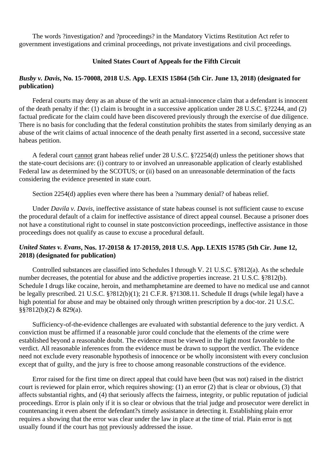The words ?investigation? and ?proceedings? in the Mandatory Victims Restitution Act refer to government investigations and criminal proceedings, not private investigations and civil proceedings.

#### **United States Court of Appeals for the Fifth Circuit**

#### *Busby v. Davis***, No. 15-70008, 2018 U.S. App. LEXIS 15864 (5th Cir. June 13, 2018) (designated for publication)**

 Federal courts may deny as an abuse of the writ an actual-innocence claim that a defendant is innocent of the death penalty if the: (1) claim is brought in a successive application under 28 U.S.C. §?2244, and (2) factual predicate for the claim could have been discovered previously through the exercise of due diligence. There is no basis for concluding that the federal constitution prohibits the states from similarly denying as an abuse of the writ claims of actual innocence of the death penalty first asserted in a second, successive state habeas petition.

 A federal court cannot grant habeas relief under 28 U.S.C. §?2254(d) unless the petitioner shows that the state-court decisions are: (i) contrary to or involved an unreasonable application of clearly established Federal law as determined by the SCOTUS; or (ii) based on an unreasonable determination of the facts considering the evidence presented in state court.

Section 2254(d) applies even where there has been a ?summary denial? of habeas relief.

 Under *Davila v. Davis,* ineffective assistance of state habeas counsel is not sufficient cause to excuse the procedural default of a claim for ineffective assistance of direct appeal counsel. Because a prisoner does not have a constitutional right to counsel in state postconviction proceedings, ineffective assistance in those proceedings does not qualify as cause to excuse a procedural default.

#### *United States v. Evans***, Nos. 17-20158 & 17-20159, 2018 U.S. App. LEXIS 15785 (5th Cir. June 12, 2018) (designated for publication)**

 Controlled substances are classified into Schedules I through V. 21 U.S.C. §?812(a). As the schedule number decreases, the potential for abuse and the addictive properties increase. 21 U.S.C. §?812(b). Schedule I drugs like cocaine, heroin, and methamphetamine are deemed to have no medical use and cannot be legally prescribed. 21 U.S.C. §?812(b)(1); 21 C.F.R. §?1308.11. Schedule II drugs (while legal) have a high potential for abuse and may be obtained only through written prescription by a doc-tor. 21 U.S.C. §§?812(b)(2) & 829(a).

 Sufficiency-of-the-evidence challenges are evaluated with substantial deference to the jury verdict. A conviction must be affirmed if a reasonable juror could conclude that the elements of the crime were established beyond a reasonable doubt. The evidence must be viewed in the light most favorable to the verdict. All reasonable inferences from the evidence must be drawn to support the verdict. The evidence need not exclude every reasonable hypothesis of innocence or be wholly inconsistent with every conclusion except that of guilty, and the jury is free to choose among reasonable constructions of the evidence.

 Error raised for the first time on direct appeal that could have been (but was not) raised in the district court is reviewed for plain error, which requires showing: (1) an error (2) that is clear or obvious, (3) that affects substantial rights, and (4) that seriously affects the fairness, integrity, or public reputation of judicial proceedings. Error is plain only if it is so clear or obvious that the trial judge and prosecutor were derelict in countenancing it even absent the defendant?s timely assistance in detecting it. Establishing plain error requires a showing that the error was clear under the law in place at the time of trial. Plain error is not usually found if the court has not previously addressed the issue.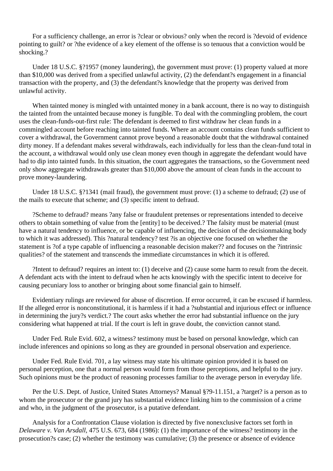For a sufficiency challenge, an error is ?clear or obvious? only when the record is ?devoid of evidence pointing to guilt? or ?the evidence of a key element of the offense is so tenuous that a conviction would be shocking.?

 Under 18 U.S.C. §?1957 (money laundering), the government must prove: (1) property valued at more than \$10,000 was derived from a specified unlawful activity, (2) the defendant?s engagement in a financial transaction with the property, and (3) the defendant?s knowledge that the property was derived from unlawful activity.

 When tainted money is mingled with untainted money in a bank account, there is no way to distinguish the tainted from the untainted because money is fungible. To deal with the commingling problem, the court uses the clean-funds-out-first rule: The defendant is deemed to first withdraw her clean funds in a commingled account before reaching into tainted funds. Where an account contains clean funds sufficient to cover a withdrawal, the Government cannot prove beyond a reasonable doubt that the withdrawal contained dirty money. If a defendant makes several withdrawals, each individually for less than the clean-fund total in the account, a withdrawal would only use clean money even though in aggregate the defendant would have had to dip into tainted funds. In this situation, the court aggregates the transactions, so the Government need only show aggregate withdrawals greater than \$10,000 above the amount of clean funds in the account to prove money-laundering.

 Under 18 U.S.C. §?1341 (mail fraud), the government must prove: (1) a scheme to defraud; (2) use of the mails to execute that scheme; and (3) specific intent to defraud.

 ?Scheme to defraud? means ?any false or fraudulent pretenses or representations intended to deceive others to obtain something of value from the [entity] to be deceived.? The falsity must be material (must have a natural tendency to influence, or be capable of influencing, the decision of the decisionmaking body to which it was addressed). This ?natural tendency? test ?is an objective one focused on whether the statement is ?of a type capable of influencing a reasonable decision maker?? and focuses on the ?intrinsic qualities? of the statement and transcends the immediate circumstances in which it is offered.

 ?Intent to defraud? requires an intent to: (1) deceive and (2) cause some harm to result from the deceit. A defendant acts with the intent to defraud when he acts knowingly with the specific intent to deceive for causing pecuniary loss to another or bringing about some financial gain to himself.

 Evidentiary rulings are reviewed for abuse of discretion. If error occurred, it can be excused if harmless. If the alleged error is nonconstitutional, it is harmless if it had a ?substantial and injurious effect or influence in determining the jury?s verdict.? The court asks whether the error had substantial influence on the jury considering what happened at trial. If the court is left in grave doubt, the conviction cannot stand.

 Under Fed. Rule Evid. 602, a witness? testimony must be based on personal knowledge, which can include inferences and opinions so long as they are grounded in personal observation and experience.

 Under Fed. Rule Evid. 701, a lay witness may state his ultimate opinion provided it is based on personal perception, one that a normal person would form from those perceptions, and helpful to the jury. Such opinions must be the product of reasoning processes familiar to the average person in everyday life.

 Per the U.S. Dept. of Justice, United States Attorneys? Manual §?9-11.151, a ?target? is a person as to whom the prosecutor or the grand jury has substantial evidence linking him to the commission of a crime and who, in the judgment of the prosecutor, is a putative defendant.

 Analysis for a Confrontation Clause violation is directed by five nonexclusive factors set forth in *Delaware v. Van Arsdall,* 475 U.S. 673, 684 (1986): (1) the importance of the witness? testimony in the prosecution?s case; (2) whether the testimony was cumulative; (3) the presence or absence of evidence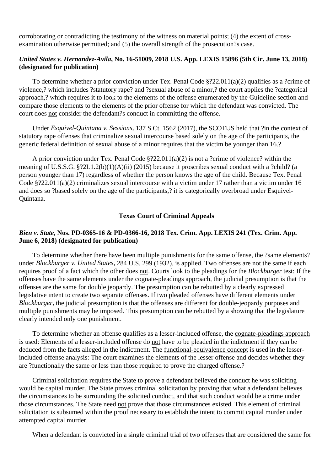corroborating or contradicting the testimony of the witness on material points; (4) the extent of crossexamination otherwise permitted; and (5) the overall strength of the prosecution?s case.

## *United States v. Hernandez-Avila***, No. 16-51009, 2018 U.S. App. LEXIS 15896 (5th Cir. June 13, 2018) (designated for publication)**

 To determine whether a prior conviction under Tex. Penal Code §?22.011(a)(2) qualifies as a ?crime of violence,? which includes ?statutory rape? and ?sexual abuse of a minor,? the court applies the ?categorical approach,? which requires it to look to the elements of the offense enumerated by the Guideline section and compare those elements to the elements of the prior offense for which the defendant was convicted. The court does not consider the defendant?s conduct in committing the offense.

 Under *Esquivel-Quintana v. Sessions,* 137 S.Ct. 1562 (2017), the SCOTUS held that ?in the context of statutory rape offenses that criminalize sexual intercourse based solely on the age of the participants, the generic federal definition of sexual abuse of a minor requires that the victim be younger than 16.?

 A prior conviction under Tex. Penal Code §?22.011(a)(2) is not a ?crime of violence? within the meaning of U.S.S.G. §?2L1.2(b)(1)(A)(ii) (2015) because it proscribes sexual conduct with a ?child? (a person younger than 17) regardless of whether the person knows the age of the child. Because Tex. Penal Code §?22.011(a)(2) criminalizes sexual intercourse with a victim under 17 rather than a victim under 16 and does so ?based solely on the age of the participants,? it is categorically overbroad under Esquivel-Quintana.

#### **Texas Court of Criminal Appeals**

#### *Bien v. State***, Nos. PD-0365-16 & PD-0366-16, 2018 Tex. Crim. App. LEXIS 241 (Tex. Crim. App. June 6, 2018) (designated for publication)**

 To determine whether there have been multiple punishments for the same offense, the ?same elements? under *Blockburger v. United States,* 284 U.S. 299 (1932), is applied. Two offenses are not the same if each requires proof of a fact which the other does not. Courts look to the pleadings for the *Blockburger* test: If the offenses have the same elements under the cognate-pleadings approach, the judicial presumption is that the offenses are the same for double jeopardy. The presumption can be rebutted by a clearly expressed legislative intent to create two separate offenses. If two pleaded offenses have different elements under *Blockburger,* the judicial presumption is that the offenses are different for double-jeopardy purposes and multiple punishments may be imposed. This presumption can be rebutted by a showing that the legislature clearly intended only one punishment.

 To determine whether an offense qualifies as a lesser-included offense, the cognate-pleadings approach is used: Elements of a lesser-included offense do not have to be pleaded in the indictment if they can be deduced from the facts alleged in the indictment. The functional-equivalence concept is used in the lesserincluded-offense analysis: The court examines the elements of the lesser offense and decides whether they are ?functionally the same or less than those required to prove the charged offense.?

 Criminal solicitation requires the State to prove a defendant believed the conduct he was soliciting would be capital murder. The State proves criminal solicitation by proving that what a defendant believes the circumstances to be surrounding the solicited conduct, and that such conduct would be a crime under those circumstances. The State need not prove that those circumstances existed. This element of criminal solicitation is subsumed within the proof necessary to establish the intent to commit capital murder under attempted capital murder.

When a defendant is convicted in a single criminal trial of two offenses that are considered the same for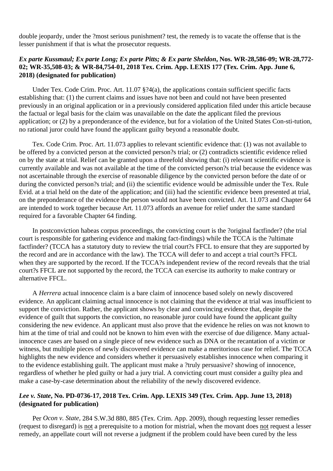double jeopardy, under the ?most serious punishment? test, the remedy is to vacate the offense that is the lesser punishment if that is what the prosecutor requests.

## *Ex parte Kussmaul; Ex parte Long; Ex parte Pitts; & Ex parte Sheldon***, Nos. WR-28,586-09; WR-28,772- 02; WR-35,508-03; & WR-84,754-01, 2018 Tex. Crim. App. LEXIS 177 (Tex. Crim. App. June 6, 2018) (designated for publication)**

 Under Tex. Code Crim. Proc. Art. 11.07 §?4(a), the applications contain sufficient specific facts establishing that: (1) the current claims and issues have not been and could not have been presented previously in an original application or in a previously considered application filed under this article because the factual or legal basis for the claim was unavailable on the date the applicant filed the previous application; or (2) by a preponderance of the evidence, but for a violation of the United States Con-sti-tution, no rational juror could have found the applicant guilty beyond a reasonable doubt.

 Tex. Code Crim. Proc. Art. 11.073 applies to relevant scientific evidence that: (1) was not available to be offered by a convicted person at the convicted person?s trial; or (2) contradicts scientific evidence relied on by the state at trial. Relief can be granted upon a threefold showing that: (i) relevant scientific evidence is currently available and was not available at the time of the convicted person?s trial because the evidence was not ascertainable through the exercise of reasonable diligence by the convicted person before the date of or during the convicted person?s trial; and (ii) the scientific evidence would be admissible under the Tex. Rule Evid. at a trial held on the date of the application; and (iii) had the scientific evidence been presented at trial, on the preponderance of the evidence the person would not have been convicted. Art. 11.073 and Chapter 64 are intended to work together because Art. 11.073 affords an avenue for relief under the same standard required for a favorable Chapter 64 finding.

 In postconviction habeas corpus proceedings, the convicting court is the ?original factfinder? (the trial court is responsible for gathering evidence and making fact-findings) while the TCCA is the ?ultimate factfinder? (TCCA has a statutory duty to review the trial court?s FFCL to ensure that they are supported by the record and are in accordance with the law). The TCCA will defer to and accept a trial court?s FFCL when they are supported by the record. If the TCCA?s independent review of the record reveals that the trial court?s FFCL are not supported by the record, the TCCA can exercise its authority to make contrary or alternative FFCL.

 A *Herrera* actual innocence claim is a bare claim of innocence based solely on newly discovered evidence. An applicant claiming actual innocence is not claiming that the evidence at trial was insufficient to support the conviction. Rather, the applicant shows by clear and convincing evidence that, despite the evidence of guilt that supports the conviction, no reasonable juror could have found the applicant guilty considering the new evidence. An applicant must also prove that the evidence he relies on was not known to him at the time of trial and could not be known to him even with the exercise of due diligence. Many actualinnocence cases are based on a single piece of new evidence such as DNA or the recantation of a victim or witness, but multiple pieces of newly discovered evidence can make a meritorious case for relief. The TCCA highlights the new evidence and considers whether it persuasively establishes innocence when comparing it to the evidence establishing guilt. The applicant must make a ?truly persuasive? showing of innocence, regardless of whether he pled guilty or had a jury trial. A convicting court must consider a guilty plea and make a case-by-case determination about the reliability of the newly discovered evidence.

# *Lee v. State***, No. PD-0736-17, 2018 Tex. Crim. App. LEXIS 349 (Tex. Crim. App. June 13, 2018) (designated for publication)**

 Per *Ocon v. State,* 284 S.W.3d 880, 885 (Tex. Crim. App. 2009), though requesting lesser remedies (request to disregard) is not a prerequisite to a motion for mistrial, when the movant does not request a lesser remedy, an appellate court will not reverse a judgment if the problem could have been cured by the less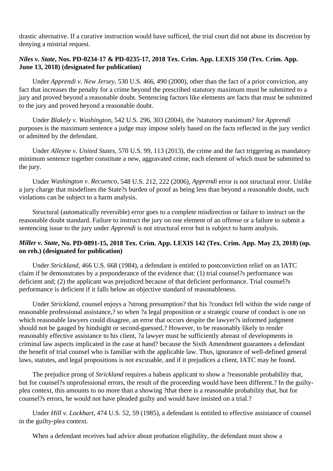drastic alternative. If a curative instruction would have sufficed, the trial court did not abuse its discretion by denying a mistrial request.

# *Niles v. State***, Nos. PD-0234-17 & PD-0235-17, 2018 Tex. Crim. App. LEXIS 350 (Tex. Crim. App. June 13, 2018) (designated for publication)**

 Under *Apprendi v. New Jersey,* 530 U.S. 466, 490 (2000), other than the fact of a prior conviction, any fact that increases the penalty for a crime beyond the prescribed statutory maximum must be submitted to a jury and proved beyond a reasonable doubt. Sentencing factors like elements are facts that must be submitted to the jury and proved beyond a reasonable doubt.

 Under *Blakely v. Washington,* 542 U.S. 296, 303 (2004), the ?statutory maximum? for *Apprendi* purposes is the maximum sentence a judge may impose solely based on the facts reflected in the jury verdict or admitted by the defendant.

 Under *Alleyne v. United States,* 570 U.S. 99, 113 (2013), the crime and the fact triggering as mandatory minimum sentence together constitute a new, aggravated crime, each element of which must be submitted to the jury.

 Under *Washington v. Recuenco,* 548 U.S. 212, 222 (2006), *Apprendi* error is not structural error. Unlike a jury charge that misdefines the State?s burden of proof as being less than beyond a reasonable doubt, such violations can be subject to a harm analysis.

 Structural (automatically reversible) error goes to a complete misdirection or failure to instruct on the reasonable doubt standard. Failure to instruct the jury on one element of an offense or a failure to submit a sentencing issue to the jury under *Apprendi* is not structural error but is subject to harm analysis.

# *Miller v. State***, No. PD-0891-15, 2018 Tex. Crim. App. LEXIS 142 (Tex. Crim. App. May 23, 2018) (op. on reh.) (designated for publication)**

 Under *Strickland,* 466 U.S. 668 (1984), a defendant is entitled to postconviction relief on an IATC claim if he demonstrates by a preponderance of the evidence that: (1) trial counsel?s performance was deficient and; (2) the applicant was prejudiced because of that deficient performance. Trial counsel?s performance is deficient if it falls below an objective standard of reasonableness.

 Under *Strickland,* counsel enjoys a ?strong presumption? that his ?conduct fell within the wide range of reasonable professional assistance,? so when ?a legal proposition or a strategic course of conduct is one on which reasonable lawyers could disagree, an error that occurs despite the lawyer?s informed judgment should not be gauged by hindsight or second-guessed.? However, to be reasonably likely to render reasonably effective assistance to his client, ?a lawyer must be sufficiently abreast of developments in criminal law aspects implicated in the case at hand? because the Sixth Amendment guarantees a defendant the benefit of trial counsel who is familiar with the applicable law. Thus, ignorance of well-defined general laws, statutes, and legal propositions is not excusable, and if it prejudices a client, IATC may be found.

 The prejudice prong of *Strickland* requires a habeas applicant to show a ?reasonable probability that, but for counsel?s unprofessional errors, the result of the proceeding would have been different.? In the guiltyplea context, this amounts to no more than a showing ?that there is a reasonable probability that, but for counsel?s errors, he would not have pleaded guilty and would have insisted on a trial.?

 Under *Hill v. Lockhart,* 474 U.S. 52, 59 (1985), a defendant is entitled to effective assistance of counsel in the guilty-plea context.

When a defendant receives bad advice about probation eligibility, the defendant must show a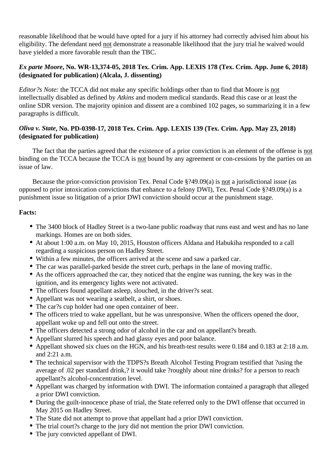reasonable likelihood that he would have opted for a jury if his attorney had correctly advised him about his eligibility. The defendant need not demonstrate a reasonable likelihood that the jury trial he waived would have yielded a more favorable result than the TBC.

# *Ex parte Moore***, No. WR-13,374-05, 2018 Tex. Crim. App. LEXIS 178 (Tex. Crim. App. June 6, 2018) (designated for publication) (Alcala, J. dissenting)**

*Editor?s Note:* the TCCA did not make any specific holdings other than to find that Moore is not intellectually disabled as defined by *Atkins* and modern medical standards. Read this case or at least the online SDR version. The majority opinion and dissent are a combined 102 pages, so summarizing it in a few paragraphs is difficult.

# *Oliva v. State***, No. PD-0398-17, 2018 Tex. Crim. App. LEXIS 139 (Tex. Crim. App. May 23, 2018) (designated for publication)**

 The fact that the parties agreed that the existence of a prior conviction is an element of the offense is not binding on the TCCA because the TCCA is not bound by any agreement or con-cessions by the parties on an issue of law.

 Because the prior-conviction provision Tex. Penal Code §?49.09(a) is not a jurisdictional issue (as opposed to prior intoxication convictions that enhance to a felony DWI), Tex. Penal Code §?49.09(a) is a punishment issue so litigation of a prior DWI conviction should occur at the punishment stage.

# **Facts:**

- The 3400 block of Hadley Street is a two-lane public roadway that runs east and west and has no lane markings. Homes are on both sides.
- At about 1:00 a.m. on May 10, 2015, Houston officers Aldana and Habukiha responded to a call regarding a suspicious person on Hadley Street.
- Within a few minutes, the officers arrived at the scene and saw a parked car.
- The car was parallel-parked beside the street curb, perhaps in the lane of moving traffic.
- As the officers approached the car, they noticed that the engine was running, the key was in the ignition, and its emergency lights were not activated.
- The officers found appellant asleep, slouched, in the driver?s seat.
- Appellant was not wearing a seatbelt, a shirt, or shoes.
- The car?s cup holder had one open container of beer.
- The officers tried to wake appellant, but he was unresponsive. When the officers opened the door, appellant woke up and fell out onto the street.
- The officers detected a strong odor of alcohol in the car and on appellant?s breath.
- Appellant slurred his speech and had glassy eyes and poor balance.
- Appellant showed six clues on the HGN, and his breath-test results were 0.184 and 0.183 at 2:18 a.m. and 2:21 a.m.
- The technical supervisor with the TDPS?s Breath Alcohol Testing Program testified that ?using the average of .02 per standard drink,? it would take ?roughly about nine drinks? for a person to reach appellant?s alcohol-concentration level.
- Appellant was charged by information with DWI. The information contained a paragraph that alleged a prior DWI conviction.
- During the guilt-innocence phase of trial, the State referred only to the DWI offense that occurred in May 2015 on Hadley Street.
- The State did not attempt to prove that appellant had a prior DWI conviction.
- The trial court?s charge to the jury did not mention the prior DWI conviction.
- The jury convicted appellant of DWI.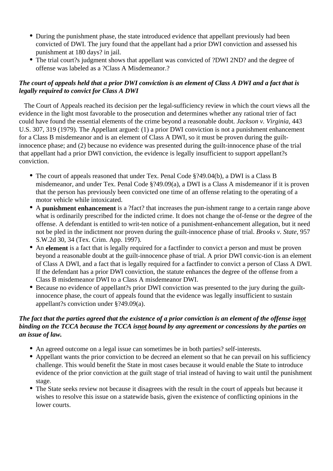- During the punishment phase, the state introduced evidence that appellant previously had been convicted of DWI. The jury found that the appellant had a prior DWI conviction and assessed his punishment at 180 days? in jail.
- The trial court?s judgment shows that appellant was convicted of ?DWI 2ND? and the degree of offense was labeled as a ?Class A Misdemeanor.?

# *The court of appeals held that a prior DWI conviction is an element of Class A DWI and a fact that is legally required to convict for Class A DWI*

 The Court of Appeals reached its decision per the legal-sufficiency review in which the court views all the evidence in the light most favorable to the prosecution and determines whether any rational trier of fact could have found the essential elements of the crime beyond a reasonable doubt. *Jackson v. Virginia,* 443 U.S. 307, 319 (1979). The Appellant argued: (1) a prior DWI conviction is not a punishment enhancement for a Class B misdemeanor and is an element of Class A DWI, so it must be proven during the guiltinnocence phase; and (2) because no evidence was presented during the guilt-innocence phase of the trial that appellant had a prior DWI conviction, the evidence is legally insufficient to support appellant?s conviction.

- The court of appeals reasoned that under Tex. Penal Code §?49.04(b), a DWI is a Class B misdemeanor, and under Tex. Penal Code §?49.09(a), a DWI is a Class A misdemeanor if it is proven that the person has previously been convicted one time of an offense relating to the operating of a motor vehicle while intoxicated.
- A **punishment enhancement** is a ?fact? that increases the pun-ishment range to a certain range above what is ordinarily prescribed for the indicted crime. It does not change the of-fense or the degree of the offense. A defendant is entitled to writ-ten notice of a punishment-enhancement allegation, but it need not be pled in the indictment nor proven during the guilt-innocence phase of trial. *Brooks v. State,* 957 S.W.2d 30, 34 (Tex. Crim. App. 1997).
- An **element** is a fact that is legally required for a factfinder to convict a person and must be proven beyond a reasonable doubt at the guilt-innocence phase of trial. A prior DWI convic-tion is an element of Class A DWI, and a fact that is legally required for a factfinder to convict a person of Class A DWI. If the defendant has a prior DWI conviction, the statute enhances the degree of the offense from a Class B misdemeanor DWI to a Class A misdemeanor DWI.
- Because no evidence of appellant?s prior DWI conviction was presented to the jury during the guiltinnocence phase, the court of appeals found that the evidence was legally insufficient to sustain appellant?s conviction under §?49.09(a).

# *The fact that the parties agreed that the existence of a prior conviction is an element of the offense isnot binding on the TCCA because the TCCA isnot bound by any agreement or concessions by the parties on an issue of law.*

- An agreed outcome on a legal issue can sometimes be in both parties? self-interests.
- Appellant wants the prior conviction to be decreed an element so that he can prevail on his sufficiency challenge. This would benefit the State in most cases because it would enable the State to introduce evidence of the prior conviction at the guilt stage of trial instead of having to wait until the punishment stage.
- The State seeks review not because it disagrees with the result in the court of appeals but because it wishes to resolve this issue on a statewide basis, given the existence of conflicting opinions in the lower courts.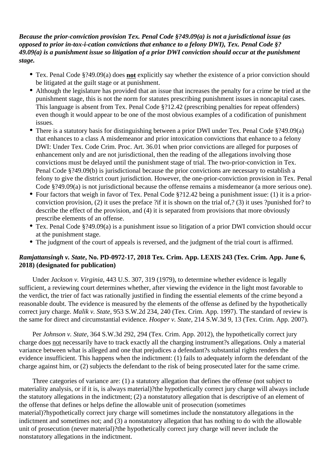*Because the prior-conviction provision Tex. Penal Code §?49.09(a) is not a jurisdictional issue (as opposed to prior in-tox-i-cation convictions that enhance to a felony DWI), Tex. Penal Code §? 49.09(a) is a punishment issue so litigation of a prior DWI conviction should occur at the punishment stage.*

- Tex. Penal Code §?49.09(a) does **not** explicitly say whether the existence of a prior conviction should be litigated at the guilt stage or at punishment.
- Although the legislature has provided that an issue that increases the penalty for a crime be tried at the punishment stage, this is not the norm for statutes prescribing punishment issues in noncapital cases. This language is absent from Tex. Penal Code §?12.42 (prescribing penalties for repeat offenders) even though it would appear to be one of the most obvious examples of a codification of punishment issues.
- There is a statutory basis for distinguishing between a prior DWI under Tex. Penal Code §?49.09(a) that enhances to a class A misdemeanor and prior intoxication convictions that enhance to a felony DWI: Under Tex. Code Crim. Proc. Art. 36.01 when prior convictions are alleged for purposes of enhancement only and are not jurisdictional, then the reading of the allegations involving those convictions must be delayed until the punishment stage of trial. The two-prior-conviction in Tex. Penal Code §?49.09(b) is jurisdictional because the prior convictions are necessary to establish a felony to give the district court jurisdiction. However, the one-prior-conviction provision in Tex. Penal Code §?49.09(a) is not jurisdictional because the offense remains a misdemeanor (a more serious one).
- Four factors that weigh in favor of Tex. Penal Code §?12.42 being a punishment issue: (1) it is a priorconviction provision, (2) it uses the preface ?if it is shown on the trial of,? (3) it uses ?punished for? to describe the effect of the provision, and (4) it is separated from provisions that more obviously prescribe elements of an offense.
- Tex. Penal Code §?49.09(a) is a punishment issue so litigation of a prior DWI conviction should occur at the punishment stage.
- The judgment of the court of appeals is reversed, and the judgment of the trial court is affirmed.

## *Ramjattansingh v. State***, No. PD-0972-17, 2018 Tex. Crim. App. LEXIS 243 (Tex. Crim. App. June 6, 2018) (designated for publication)**

 Under *Jackson v. Virginia,* 443 U.S. 307, 319 (1979), to determine whether evidence is legally sufficient, a reviewing court determines whether, after viewing the evidence in the light most favorable to the verdict, the trier of fact was rationally justified in finding the essential elements of the crime beyond a reasonable doubt. The evidence is measured by the elements of the offense as defined by the hypothetically correct jury charge. *Malik v. State,* 953 S.W.2d 234, 240 (Tex. Crim. App. 1997). The standard of review is the same for direct and circumstantial evidence. *Hooper v. State,* 214 S.W.3d 9, 13 (Tex. Crim. App. 2007).

 Per *Johnson v. State,* 364 S.W.3d 292, 294 (Tex. Crim. App. 2012), the hypothetically correct jury charge does not necessarily have to track exactly all the charging instrument?s allegations. Only a material variance between what is alleged and one that prejudices a defendant?s substantial rights renders the evidence insufficient. This happens when the indictment: (1) fails to adequately inform the defendant of the charge against him, or (2) subjects the defendant to the risk of being prosecuted later for the same crime.

 Three categories of variance are: (1) a statutory allegation that defines the offense (not subject to materiality analysis, or if it is, is always material)?the hypothetically correct jury charge will always include the statutory allegations in the indictment; (2) a nonstatutory allegation that is descriptive of an element of the offense that defines or helps define the allowable unit of prosecution (sometimes material)?hypothetically correct jury charge will sometimes include the nonstatutory allegations in the indictment and sometimes not; and (3) a nonstatutory allegation that has nothing to do with the allowable unit of prosecution (never material)?the hypothetically correct jury charge will never include the nonstatutory allegations in the indictment.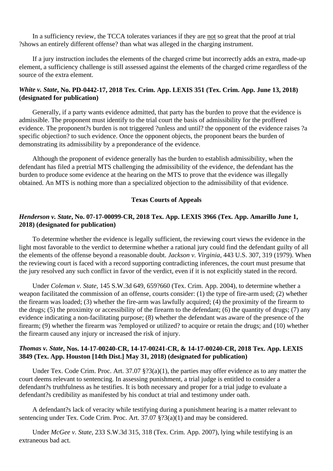In a sufficiency review, the TCCA tolerates variances if they are not so great that the proof at trial ?shows an entirely different offense? than what was alleged in the charging instrument.

 If a jury instruction includes the elements of the charged crime but incorrectly adds an extra, made-up element, a sufficiency challenge is still assessed against the elements of the charged crime regardless of the source of the extra element.

## *White v. State***, No. PD-0442-17, 2018 Tex. Crim. App. LEXIS 351 (Tex. Crim. App. June 13, 2018) (designated for publication)**

 Generally, if a party wants evidence admitted, that party has the burden to prove that the evidence is admissible. The proponent must identify to the trial court the basis of admissibility for the proffered evidence. The proponent?s burden is not triggered ?unless and until? the opponent of the evidence raises ?a specific objection? to such evidence. Once the opponent objects, the proponent bears the burden of demonstrating its admissibility by a preponderance of the evidence.

 Although the proponent of evidence generally has the burden to establish admissibility, when the defendant has filed a pretrial MTS challenging the admissibility of the evidence, the defendant has the burden to produce some evidence at the hearing on the MTS to prove that the evidence was illegally obtained. An MTS is nothing more than a specialized objection to the admissibility of that evidence.

#### **Texas Courts of Appeals**

#### *Henderson v. State***, No. 07-17-00099-CR, 2018 Tex. App. LEXIS 3966 (Tex. App. Amarillo June 1, 2018) (designated for publication)**

 To determine whether the evidence is legally sufficient, the reviewing court views the evidence in the light most favorable to the verdict to determine whether a rational jury could find the defendant guilty of all the elements of the offense beyond a reasonable doubt. *Jackson v. Virginia,* 443 U.S. 307, 319 (1979). When the reviewing court is faced with a record supporting contradicting inferences, the court must presume that the jury resolved any such conflict in favor of the verdict, even if it is not explicitly stated in the record.

 Under *Coleman v. State,* 145 S.W.3d 649, 659?660 (Tex. Crim. App. 2004), to determine whether a weapon facilitated the commission of an offense, courts consider: (1) the type of fire-arm used; (2) whether the firearm was loaded; (3) whether the fire-arm was lawfully acquired; (4) the proximity of the firearm to the drugs; (5) the proximity or accessibility of the firearm to the defendant; (6) the quantity of drugs; (7) any evidence indicating a non-facilitating purpose; (8) whether the defendant was aware of the presence of the firearm; (9) whether the firearm was ?employed or utilized? to acquire or retain the drugs; and (10) whether the firearm caused any injury or increased the risk of injury.

#### *Thomas v. State***, Nos. 14-17-00240-CR, 14-17-00241-CR, & 14-17-00240-CR, 2018 Tex. App. LEXIS 3849 (Tex. App. Houston [14th Dist.] May 31, 2018) (designated for publication)**

 Under Tex. Code Crim. Proc. Art. 37.07 §?3(a)(1), the parties may offer evidence as to any matter the court deems relevant to sentencing. In assessing punishment, a trial judge is entitled to consider a defendant?s truthfulness as he testifies. It is both necessary and proper for a trial judge to evaluate a defendant?s credibility as manifested by his conduct at trial and testimony under oath.

 A defendant?s lack of veracity while testifying during a punishment hearing is a matter relevant to sentencing under Tex. Code Crim. Proc. Art. 37.07 §?3(a)(1) and may be considered.

 Under *McGee v. State,* 233 S.W.3d 315, 318 (Tex. Crim. App. 2007), lying while testifying is an extraneous bad act.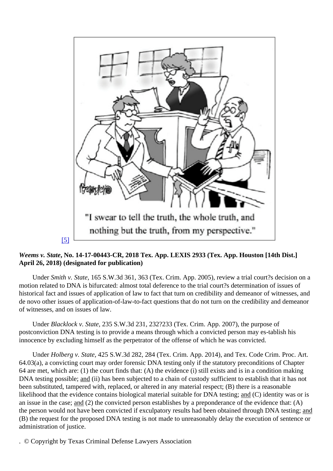# [5]

Weems v. StateNo. 14-17-00443-CR, 2018 Tex. App. LEXIS 2933 (Tex. App. Houston [14th Dist.] April 26, 2018) (designated for publication)

Under Smith v. State, 65 S.W.3d 361, 363 (Tex. Crim. App. 2005), review a trial court?s decision on a motion related to DNA is bifurcated: almost total deference to the trial court?s determination of issues of historical fact and issues of application of law to fact that turn on credibility and demeanor of witnesses, and de novo other issues of application-of-law-to-fact questions that do not turn on the credibility and demeanor of witnesses, and on issues of law.

UnderBlacklock v. State, 35 S.W.3d 231, 232?233 (Tex. Crim. App. 2007), the purpose of postconviction DNA testing is to provide a means through which a convicted person may es-tablish his innocence by excluding himself as the perpetrator of the offense of which he was convicted.

UnderHolberg v. State425 S.W.3d 282, 284 (Tex. Crim. App. 2014), and Tex. Code Crim. Proc. Art. 64.03(a), a convicting court may order forensic DNA testing only if the statutory preconditions of Chapter 64 are met, which are: (1) the court finds that: (A) the evidence (i) still exists and is in a condition making DNA testing possibleand (ii) has been subjected to a chain of custody sufficient to establish that it has not been substituted, tampered with, replaced, or altered in any material respect; (B) there is a reasonable likelihood that the evidence contains biological material suitable for DNA testing( $\hat{C}$ ) identity was or is an issue in the casand(2) the convicted person establishes by a preponderance of the evidence that: (A) the person would not have been convicted if exculpatory results had been obtained through DNA netsting; (B) the request for the proposed DNA testing is not made to unreasonably delay the execution of sentence or administration of justice.

. © Copyright by Texas Criminal Defense Lawyers Association